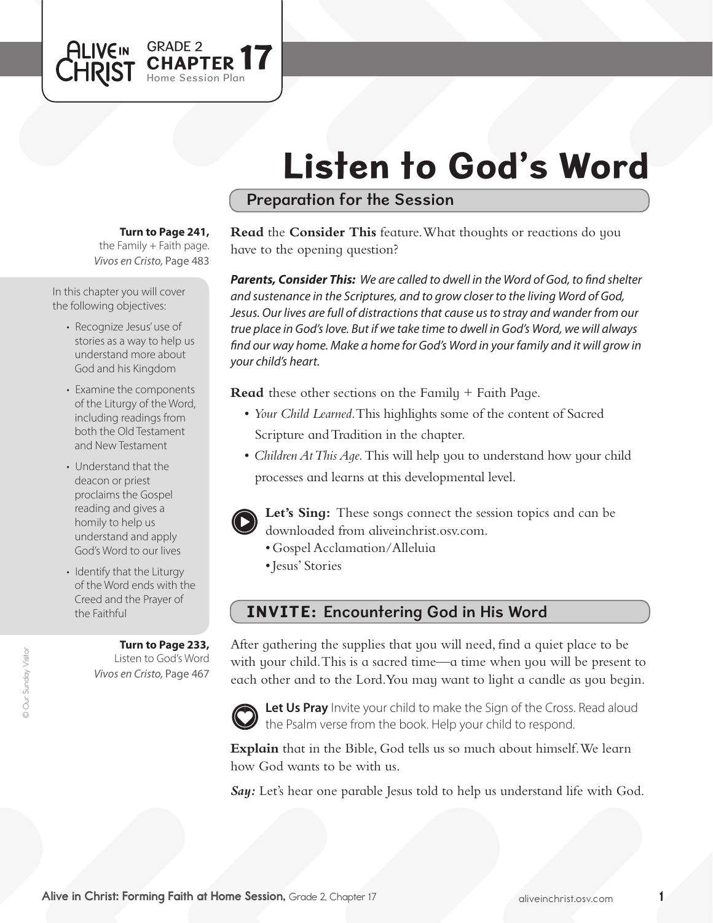# Listen to God's Word

## Preparation for the Session

**Turn to Page 241,** 

GRADE 2

Session Plan PTER 17

the Family  $+$  Faith page. *Vivos en Cristo,* Page 483

In this chapter you will cover the following objectives:

**ALIVEIN** 

CHRIST

- Recognize Jesus'use of stories as a way to help us understand more about God and his Kingdom
- Examine the components of the Liturgy of the Word, including readings from both the Old Testament and New Testament
- Understand that the deacon or priest proclaims the Gospel reading and gives a homily to help us understand and apply God's Word to our lives
- Identify that the Liturgy of the Word ends with the Creed and the Prayer of the Faithful

**Turn to Page 233,** Listen to God's Word *Vivos en Cristo,* Page 467

**Read** the **Consider This** feature. What thoughts or reactions do you have to the opening question?

*Parents, Consider This: We are called to dwell in the Word of God, to find shelter and sustenance in the Scriptures, and to grow closer to the living Word of God, Jesus. Our lives are full of distractions that cause us to stray and wander from our true place in God's love. But if we take time to dwell in God's Word, we will always find our way home. Make a home for God's Word in your family and it will grow in your child's heart.*

**Read** these other sections on the Family + Faith Page.

- • *Your Child Learned*. This highlights some of the content of Sacred Scripture and Tradition in the chapter.
- *Children At This Aqe*. This will help you to understand how your child processes and learns at this developmental level.



**Let's Sing:** These songs connect the session topics and can be downloaded from aliveinchrist.osv.com.

- • Gospel Acclamation/Alleluia
- • Jesus' Stories

# INVITE: Encountering God in His Word

After gathering the supplies that you will need, find a quiet place to be with your child. This is a sacred time—a time when you will be present to each other and to the Lord. You may want to light a candle as you begin.



Let Us Pray Invite your child to make the Sign of the Cross. Read aloud the Psalm verse from the book. Help your child to respond.

**Explain** that in the Bible, God tells us so much about himself.We learn how God wants to be with us.

*Say:* Let's hear one parable Jesus told to help us understand life with God.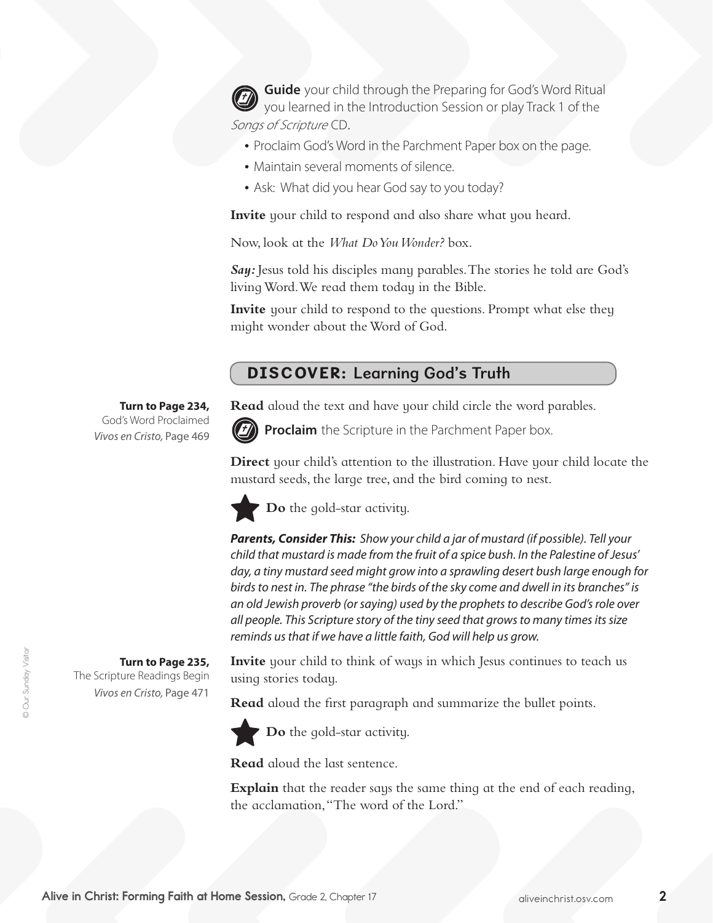**Guide** your child through the Preparing for God's Word Ritual you learned in the Introduction Session or play Track 1 of the Songs of Scripture CD.

- Proclaim God's Word in the Parchment Paper box on the page.
- Maintain several moments of silence.
- Ask: What did you hear God say to you today?

**Invite** your child to respond and also share what you heard.

Now, look at the *What Do You Wonder?* box.

*Say:* Jesus told his disciples many parables.The stories he told are God's living Word. We read them today in the Bible.

**Invite** your child to respond to the questions. Prompt what else they might wonder about theWord of God.

# DISCOVER: Learning God's Truth

**Read** aloud the text and have your child circle the word parables.



**Proclaim** the Scripture in the Parchment Paper box.

**Direct** your child's attention to the illustration. Have your child locate the mustard seeds, the large tree, and the bird coming to nest.

**Do** the gold-star activity.

*Parents, Consider This: Show your child a jar of mustard (if possible). Tell your child that mustard is made from the fruit of a spice bush. In the Palestine of Jesus' day, a tiny mustard seed might grow into a sprawling desert bush large enough for birds to nest in. The phrase "the birds of the sky come and dwell in its branches" is an old Jewish proverb (or saying) used by the prophets to describe God's role over all people. This Scripture story of the tiny seed that grows to many times its size reminds us that if we have a little faith, God will help us grow.*

**Invite** your child to think of ways in which Jesus continues to teach us using stories today.

**Read** aloud the first paragraph and summarize the bullet points.



**Do** the gold-star activity.

**Read** aloud the last sentence.

**Explain** that the reader says the same thing at the end of each reading, the acclamation,"The word of the Lord."

**Turn to Page 234,** God's Word Proclaimed *Vivos en Cristo,* Page 469

**Turn to Page 235,**  The Scripture Readings Begin *Vivos en Cristo,* Page 471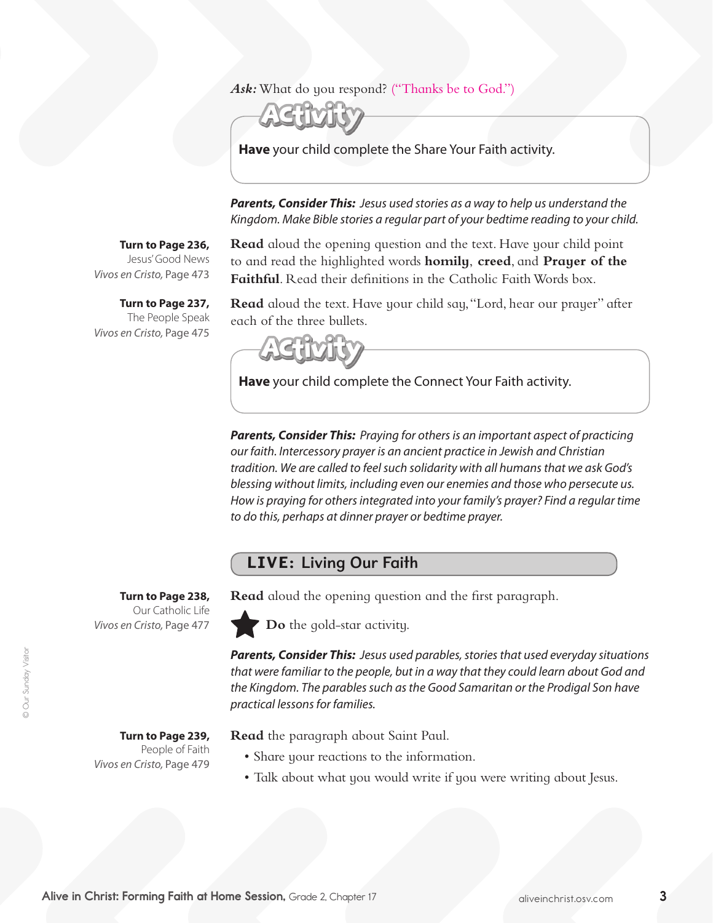## *Ask:* What do you respond? ("Thanks be to God.")



**Have** your child complete the Share Your Faith activity.

*Parents, Consider This: Jesus used stories as a way to help us understand the Kingdom. Make Bible stories a regular part of your bedtime reading to your child.* 

### **Turn to Page 236,**

Jesus'Good News *Vivos en Cristo,* Page 473

**Turn to Page 237,** The People Speak *Vivos en Cristo,* Page 475

**Read** aloud the opening question and the text. Have your child point to and read the highlighted words **homily**, **creed**, and **Prayer of the Faithful**. Read their definitions in the Catholic Faith Words box.

**Read** aloud the text. Have your child say,"Lord, hear our prayer" after each of the three bullets.

**Have** your child complete the Connect Your Faith activity.

*Parents, Consider This: Praying for others is an important aspect of practicing our faith. Intercessory prayer is an ancient practice in Jewish and Christian tradition. We are called to feel such solidarity with all humans that we ask God's blessing without limits, including even our enemies and those who persecute us. How is praying for others integrated into your family's prayer? Find a regular time to do this, perhaps at dinner prayer or bedtime prayer.*

## LIVE: Living Our Faith

**Turn to Page 238,** 

Our Catholic Life *Vivos en Cristo,* Page 477

**Turn to Page 239,**  People of Faith *Vivos en Cristo,* Page 479

**Read** aloud the opening question and the first paragraph.

**Do** the gold-star activity.

*Parents, Consider This: Jesus used parables, stories that used everyday situations that were familiar to the people, but in a way that they could learn about God and the Kingdom. The parables such as the Good Samaritan or the Prodigal Son have practical lessons for families.*

**Read** the paragraph about Saint Paul.

- Share your reactions to the information.
- Talk about what you would write if you were writing about Jesus.